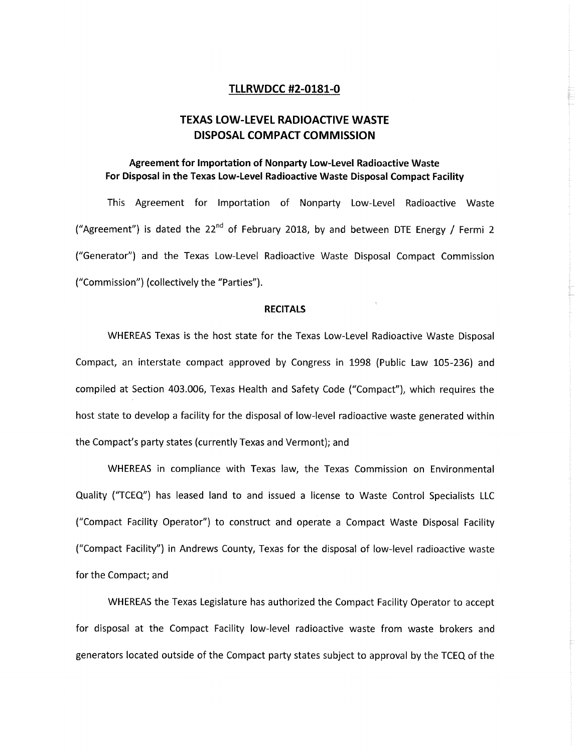### **TLLRWDCC #2-0181-0**

# **TEXAS LOW-LEVEL RADIOACTIVE WASTE DISPOSAL COMPACT COMMISSION**

# **Agreement for Importation of Nonparty Low-Level Radioactive Waste For Disposal in the Texas Low-Level Radioactive Waste Disposal Compact Facility**

This Agreement for Importation of Nonparty Low-Level Radioactive Waste ("Agreement") is dated the 22nd of February 2018, by and between DTE Energy **/** Fermi 2 ("Generator") and the Texas Low-Level Radioactive Waste Disposal Compact Commission ("Commission") (collectively the "Parties").

#### **RECITALS**

WHEREAS Texas is the host state for the Texas Low-Level Radioactive Waste Disposal Compact, an interstate compact approved by Congress in 1998 (Public Law 105-236) and compiled at Section 403.006, Texas Health and Safety Code ("Compact"), which requires the host state to develop a facility for the disposal of low-level radioactive waste generated within the Compact's party states (currently Texas and Vermont); and

WHEREAS in compliance with Texas law, the Texas Commission on Environmental Quality ("TCEQ") has leased land to and issued a license to Waste Control Specialists LLC ("Compact Facility Operator") to construct and operate a Compact Waste Disposal Facility ("Compact Facility") in Andrews County, Texas for the disposal of low-level radioactive waste for the Compact; and

WHEREAS the Texas Legislature has authorized the Compact Facility Operator to accept for disposal at the Compact Facility low-level radioactive waste from waste brokers and generators located outside of the Compact party states subject to approval by the TCEQ of the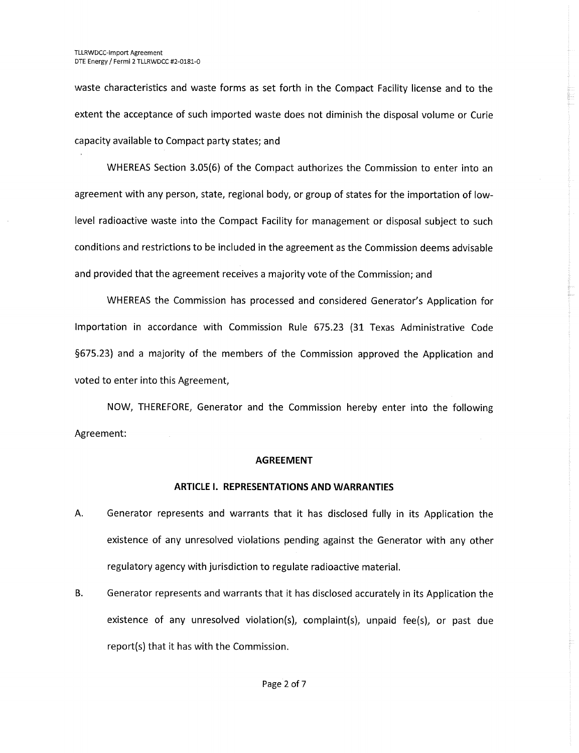waste characteristics and waste forms as set forth in the Compact Facility license and to the extent the acceptance of such imported waste does not diminish the disposal volume or Curie capacity available to Compact party states; and

WHEREAS Section 3.05(6) of the Compact authorizes the Commission to enter into an agreement with any person, state, regional body, or group of states for the importation of lowlevel radioactive waste into the Compact Facility for management or disposal subject to such conditions and restrictions to be included in the agreement as the Commission deems advisable and provided that the agreement receives a majority vote of the Commission; and

WHEREAS the Commission has processed and considered Generator's Application for Importation in accordance with Commission Rule 675.23 (31 Texas Administrative Code §675.23) and a majority of the members of the Commission approved the Application and voted to enter into this Agreement,

NOW, THEREFORE, Generator and the Commission hereby enter into the following Agreement:

#### **AGREEMENT**

# **ARTICLE I. REPRESENTATIONS AND WARRANTIES**

- **A.** Generator represents and warrants that it has disclosed fully in its Application the existence of any unresolved violations pending against the Generator with any other regulatory agency with jurisdiction to regulate radioactive material.
- B. Generator represents and warrants that it has disclosed accurately in its Application the existence of any unresolved violation(s), complaint(s), unpaid fee(s), or past due report(s) that it has with the Commission.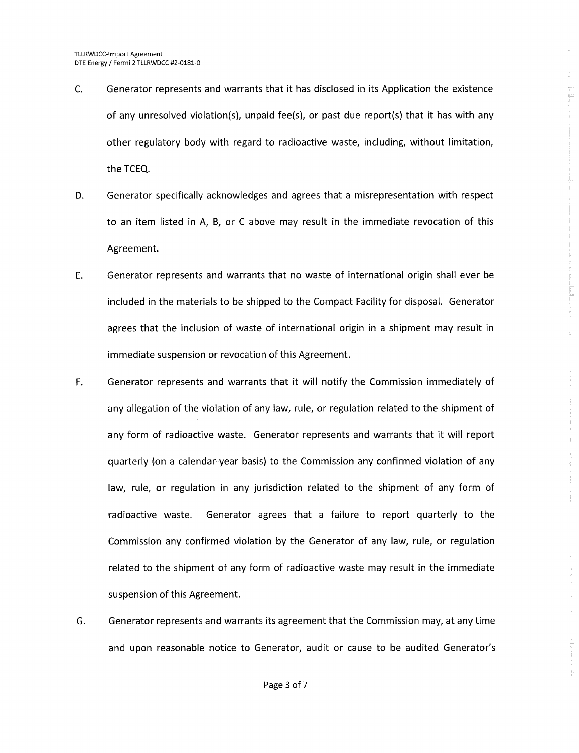- C. Generator represents and warrants that it has disclosed in its Application the existence of any unresolved violation(s), unpaid fee(s), or past due report(s) that it has with any other regulatory body with regard to radioactive waste, including, without limitation, the TCEQ.
- D. Generator specifically acknowledges and agrees that a misrepresentation with respect to an item listed in A, B, or C above may result in the immediate revocation of this Agreement.
- E. Generator represents and warrants that no waste of international origin shall ever be included in the materials to be shipped to the Compact Facility for disposal. Generator agrees that the inclusion of waste of international origin in a shipment may result in immediate suspension or revocation of this Agreement.
- F. Generator represents and warrants that it will notify the Commission immediately of any allegation of the violation of any law, rule, or regulation related to the shipment of any form of radioactive waste. Generator represents and warrants that it will report quarterly (on a calendar-year basis) to the Commission any confirmed violation of any law, rule, or regulation in any jurisdiction related to the shipment of any form of radioactive waste. Generator agrees that a failure to report quarterly to the Commission any confirmed violation by the Generator of any law, rule, or regulation related to the shipment of any form of radioactive waste may result in the immediate suspension of this Agreement.
- G. Generator represents and warrants its agreement that the Commission may, at any time and upon reasonable notice to Generator, audit or cause to be audited Generator's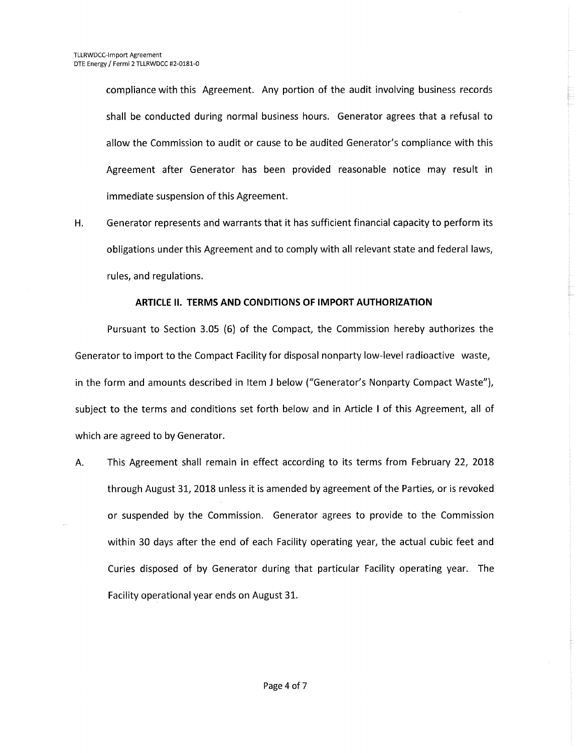compliance with this Agreement. Any portion of the audit involving business records shall be conducted during normal business hours. Generator agrees that a refusal to allow the Commission to audit or cause to be audited Generator's compliance with this Agreement after Generator has been provided reasonable notice may result in immediate suspension of this Agreement.

H. Generator represents and warrants that it has sufficient financial capacity to perform its obligations under this Agreement and to comply with all relevant state and federal laws, rules, and regulations.

### ARTICLE **II. TERMS AND CONDITIONS OF IMPORT AUTHORIZATION**

Pursuant to Section 3.05 (6) of the Compact, the Commission hereby authorizes the Generator to import to the Compact Facility for disposal nonparty low-level radioactive waste, in the form and amounts described in Item **J** below ("Generator's Nonparty Compact Waste"), subject to the terms and conditions set forth below and in Article I of this Agreement, all of which are agreed to by Generator.

A. This Agreement shall remain in effect according to its terms from February **22, 2018** through August 31, 2018 unless it is amended by agreement of the Parties, or is revoked or suspended by the Commission. Generator agrees to provide to the Commission within 30 days after the end of each Facility operating year, the actual cubic feet and Curies disposed of by Generator during that particular Facility operating year. The Facility operational year ends on August 31.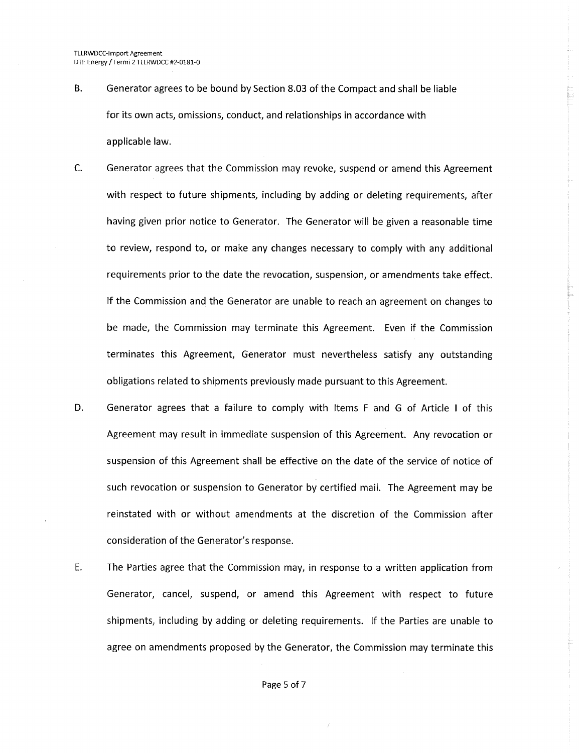- B. Generator agrees to be bound by Section 8.03 of the Compact and shall be liable for its own acts, omissions, conduct, and relationships in accordance with applicable law.
- C. Generator agrees that the Commission may revoke, suspend or amend this Agreement with respect to future shipments, including by adding or deleting requirements, after having given prior notice to Generator. The Generator will be given a reasonable time to review, respond to, or make any changes necessary to comply with any additional requirements prior to the date the revocation, suspension, or amendments take effect. If the Commission and the Generator are unable to reach an agreement on changes to be made, the Commission may terminate this Agreement. Even if the Commission terminates this Agreement, Generator must nevertheless satisfy any outstanding obligations related to shipments previously made pursuant to this Agreement.
- D. Generator agrees that a failure to comply with Items F and G of Article I of this Agreement may result in immediate suspension of this Agreement. Any revocation or suspension of this Agreement shall be effective on the date of the service of notice of such revocation or suspension to Generator by certified mail. The Agreement may be reinstated with or without amendments at the discretion of the Commission after consideration of the Generator's response.
- E. The Parties agree that the Commission may, in response to a written application from Generator, cancel, suspend, or amend this Agreement with respect to future shipments, including by adding or deleting requirements. If the Parties are unable to agree on amendments proposed by the Generator, the Commission may terminate this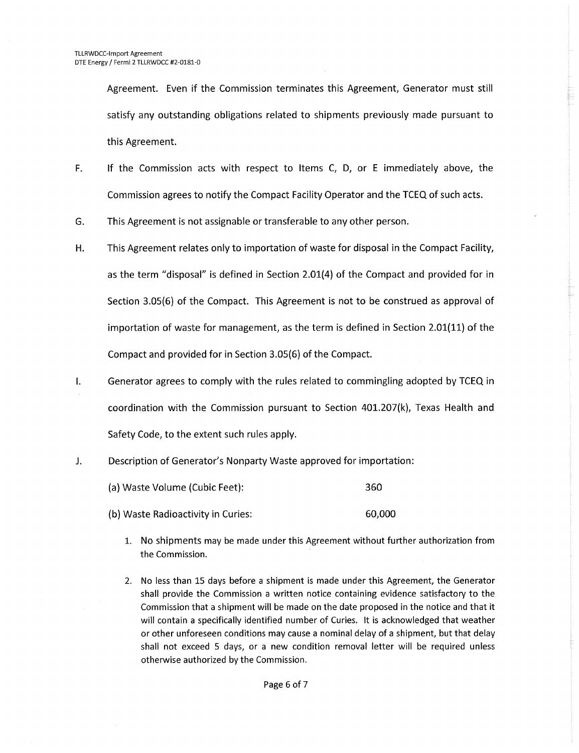Agreement. Even if the Commission terminates this Agreement, Generator must still satisfy any outstanding obligations related to shipments previously made pursuant to this Agreement.

- F. If the Commission acts with respect to Items C, D, or E immediately above, the Commission agrees to notify the Compact Facility Operator and the TCEQ of such acts.
- G. This Agreement is not assignable or transferable to any other person.
- H. This Agreement relates only to importation of waste for disposal in the Compact Facility, as the term "disposal" is defined in Section 2.01(4) of the Compact and provided for in Section 3.05(6) of the Compact. This Agreement is not to be construed as approval of importation of waste for management, as the term is defined in Section 2.01(11) of the Compact and provided for in Section 3.05(6) of the Compact.
- **1.** Generator agrees to comply with the rules related to commingling adopted by TCEQ in coordination with the Commission pursuant to Section 401.207(k), Texas Health and Safety Code, to the extent such rules apply.
- J. Description of Generator's Nonparty Waste approved for importation:
	- (a) Waste Volume (Cubic Feet): 360 (b) Waste Radioactivity in Curies: 60,000
		- 1. No shipments may be made under this Agreement without further authorization from the Commission.
		- 2. No less than 15 days before a shipment is made under this Agreement, the Generator shall provide the Commission a written notice containing evidence satisfactory to the Commission that a shipment will be made on the date proposed in the notice and that it will contain a specifically identified number of Curies. It is acknowledged that weather or other unforeseen conditions may cause a nominal delay of a shipment, but that delay shall not exceed 5 days, or a new condition removal letter will be required unless otherwise authorized by the Commission.